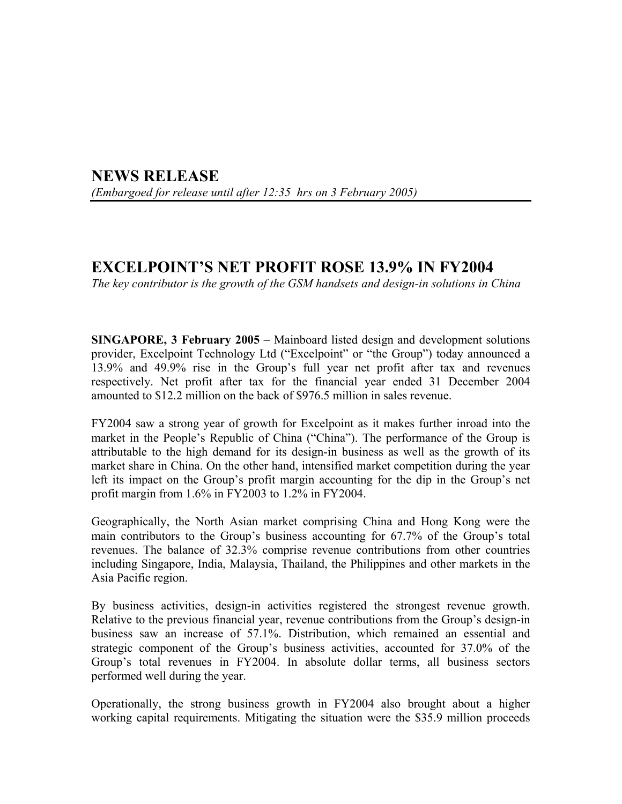## **NEWS RELEASE**  *(Embargoed for release until after 12:35 hrs on 3 February 2005)*

## **EXCELPOINT'S NET PROFIT ROSE 13.9% IN FY2004**

*The key contributor is the growth of the GSM handsets and design-in solutions in China* 

**SINGAPORE, 3 February 2005** – Mainboard listed design and development solutions provider, Excelpoint Technology Ltd ("Excelpoint" or "the Group") today announced a 13.9% and 49.9% rise in the Group's full year net profit after tax and revenues respectively. Net profit after tax for the financial year ended 31 December 2004 amounted to \$12.2 million on the back of \$976.5 million in sales revenue.

FY2004 saw a strong year of growth for Excelpoint as it makes further inroad into the market in the People's Republic of China ("China"). The performance of the Group is attributable to the high demand for its design-in business as well as the growth of its market share in China. On the other hand, intensified market competition during the year left its impact on the Group's profit margin accounting for the dip in the Group's net profit margin from 1.6% in FY2003 to 1.2% in FY2004.

Geographically, the North Asian market comprising China and Hong Kong were the main contributors to the Group's business accounting for 67.7% of the Group's total revenues. The balance of 32.3% comprise revenue contributions from other countries including Singapore, India, Malaysia, Thailand, the Philippines and other markets in the Asia Pacific region.

By business activities, design-in activities registered the strongest revenue growth. Relative to the previous financial year, revenue contributions from the Group's design-in business saw an increase of 57.1%. Distribution, which remained an essential and strategic component of the Group's business activities, accounted for 37.0% of the Group's total revenues in FY2004. In absolute dollar terms, all business sectors performed well during the year.

Operationally, the strong business growth in FY2004 also brought about a higher working capital requirements. Mitigating the situation were the \$35.9 million proceeds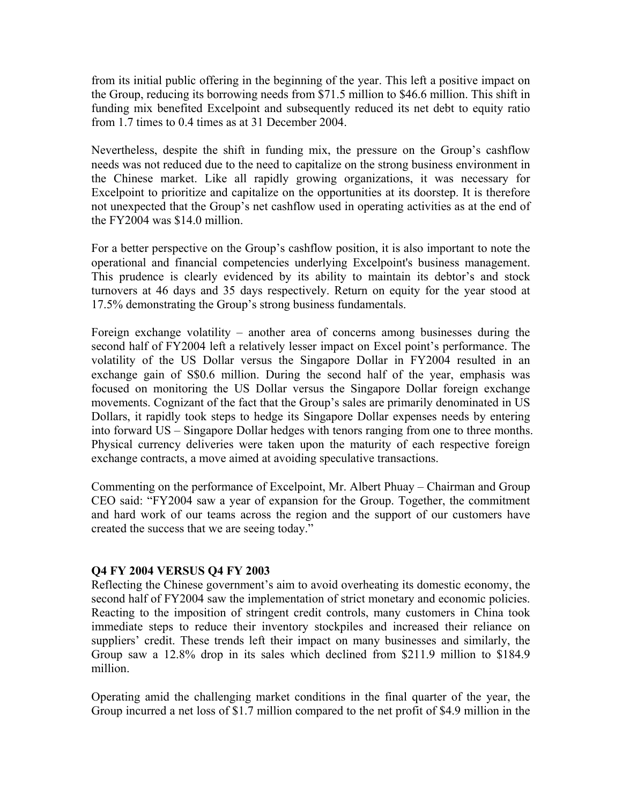from its initial public offering in the beginning of the year. This left a positive impact on the Group, reducing its borrowing needs from \$71.5 million to \$46.6 million. This shift in funding mix benefited Excelpoint and subsequently reduced its net debt to equity ratio from 1.7 times to 0.4 times as at 31 December 2004.

Nevertheless, despite the shift in funding mix, the pressure on the Group's cashflow needs was not reduced due to the need to capitalize on the strong business environment in the Chinese market. Like all rapidly growing organizations, it was necessary for Excelpoint to prioritize and capitalize on the opportunities at its doorstep. It is therefore not unexpected that the Group's net cashflow used in operating activities as at the end of the FY2004 was \$14.0 million.

For a better perspective on the Group's cashflow position, it is also important to note the operational and financial competencies underlying Excelpoint's business management. This prudence is clearly evidenced by its ability to maintain its debtor's and stock turnovers at 46 days and 35 days respectively. Return on equity for the year stood at 17.5% demonstrating the Group's strong business fundamentals.

Foreign exchange volatility – another area of concerns among businesses during the second half of FY2004 left a relatively lesser impact on Excel point's performance. The volatility of the US Dollar versus the Singapore Dollar in FY2004 resulted in an exchange gain of S\$0.6 million. During the second half of the year, emphasis was focused on monitoring the US Dollar versus the Singapore Dollar foreign exchange movements. Cognizant of the fact that the Group's sales are primarily denominated in US Dollars, it rapidly took steps to hedge its Singapore Dollar expenses needs by entering into forward US – Singapore Dollar hedges with tenors ranging from one to three months. Physical currency deliveries were taken upon the maturity of each respective foreign exchange contracts, a move aimed at avoiding speculative transactions.

Commenting on the performance of Excelpoint, Mr. Albert Phuay – Chairman and Group CEO said: "FY2004 saw a year of expansion for the Group. Together, the commitment and hard work of our teams across the region and the support of our customers have created the success that we are seeing today."

## **Q4 FY 2004 VERSUS Q4 FY 2003**

Reflecting the Chinese government's aim to avoid overheating its domestic economy, the second half of FY2004 saw the implementation of strict monetary and economic policies. Reacting to the imposition of stringent credit controls, many customers in China took immediate steps to reduce their inventory stockpiles and increased their reliance on suppliers' credit. These trends left their impact on many businesses and similarly, the Group saw a 12.8% drop in its sales which declined from \$211.9 million to \$184.9 million.

Operating amid the challenging market conditions in the final quarter of the year, the Group incurred a net loss of \$1.7 million compared to the net profit of \$4.9 million in the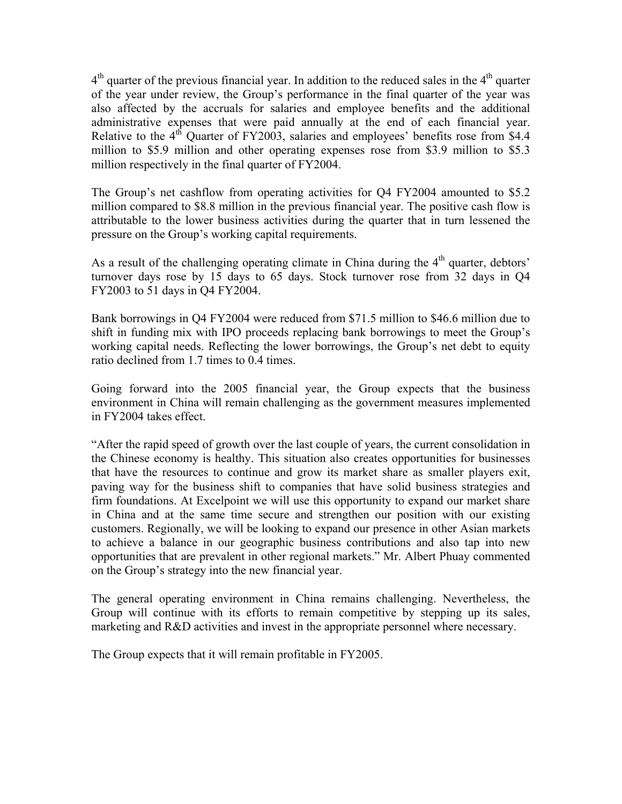$4<sup>th</sup>$  quarter of the previous financial year. In addition to the reduced sales in the  $4<sup>th</sup>$  quarter of the year under review, the Group's performance in the final quarter of the year was also affected by the accruals for salaries and employee benefits and the additional administrative expenses that were paid annually at the end of each financial year. Relative to the  $4<sup>th</sup>$  Ouarter of FY2003, salaries and employees' benefits rose from \$4.4 million to \$5.9 million and other operating expenses rose from \$3.9 million to \$5.3 million respectively in the final quarter of FY2004.

The Group's net cashflow from operating activities for Q4 FY2004 amounted to \$5.2 million compared to \$8.8 million in the previous financial year. The positive cash flow is attributable to the lower business activities during the quarter that in turn lessened the pressure on the Group's working capital requirements.

As a result of the challenging operating climate in China during the  $4<sup>th</sup>$  quarter, debtors' turnover days rose by 15 days to 65 days. Stock turnover rose from 32 days in Q4 FY2003 to 51 days in Q4 FY2004.

Bank borrowings in Q4 FY2004 were reduced from \$71.5 million to \$46.6 million due to shift in funding mix with IPO proceeds replacing bank borrowings to meet the Group's working capital needs. Reflecting the lower borrowings, the Group's net debt to equity ratio declined from 1.7 times to 0.4 times.

Going forward into the 2005 financial year, the Group expects that the business environment in China will remain challenging as the government measures implemented in FY2004 takes effect.

"After the rapid speed of growth over the last couple of years, the current consolidation in the Chinese economy is healthy. This situation also creates opportunities for businesses that have the resources to continue and grow its market share as smaller players exit, paving way for the business shift to companies that have solid business strategies and firm foundations. At Excelpoint we will use this opportunity to expand our market share in China and at the same time secure and strengthen our position with our existing customers. Regionally, we will be looking to expand our presence in other Asian markets to achieve a balance in our geographic business contributions and also tap into new opportunities that are prevalent in other regional markets." Mr. Albert Phuay commented on the Group's strategy into the new financial year.

The general operating environment in China remains challenging. Nevertheless, the Group will continue with its efforts to remain competitive by stepping up its sales, marketing and R&D activities and invest in the appropriate personnel where necessary.

The Group expects that it will remain profitable in FY2005.